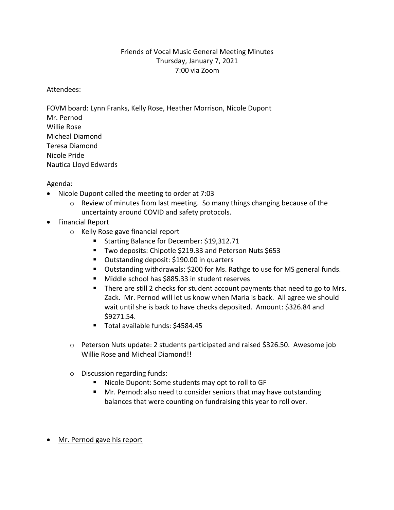## Friends of Vocal Music General Meeting Minutes Thursday, January 7, 2021 7:00 via Zoom

## Attendees:

FOVM board: Lynn Franks, Kelly Rose, Heather Morrison, Nicole Dupont Mr. Pernod Willie Rose Micheal Diamond Teresa Diamond Nicole Pride Nautica Lloyd Edwards

## Agenda:

- Nicole Dupont called the meeting to order at 7:03
	- o Review of minutes from last meeting. So many things changing because of the uncertainty around COVID and safety protocols.
- Financial Report
	- o Kelly Rose gave financial report
		- Starting Balance for December: \$19,312.71
		- Two deposits: Chipotle \$219.33 and Peterson Nuts \$653
		- Outstanding deposit: \$190.00 in quarters
		- Outstanding withdrawals: \$200 for Ms. Rathge to use for MS general funds.
		- Middle school has \$885.33 in student reserves
		- There are still 2 checks for student account payments that need to go to Mrs. Zack. Mr. Pernod will let us know when Maria is back. All agree we should wait until she is back to have checks deposited. Amount: \$326.84 and \$9271.54.
		- § Total available funds: \$4584.45
	- o Peterson Nuts update: 2 students participated and raised \$326.50. Awesome job Willie Rose and Micheal Diamond!!
	- o Discussion regarding funds:
		- Nicole Dupont: Some students may opt to roll to GF
		- Mr. Pernod: also need to consider seniors that may have outstanding balances that were counting on fundraising this year to roll over.
- Mr. Pernod gave his report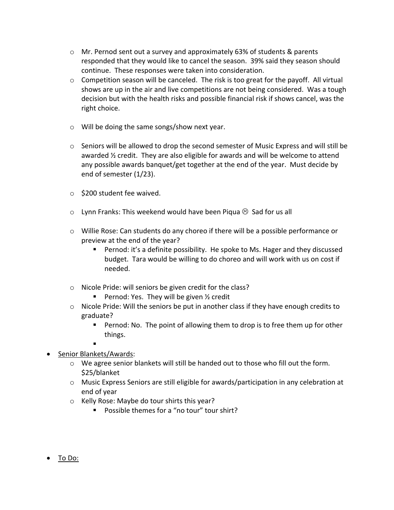- o Mr. Pernod sent out a survey and approximately 63% of students & parents responded that they would like to cancel the season. 39% said they season should continue. These responses were taken into consideration.
- $\circ$  Competition season will be canceled. The risk is too great for the payoff. All virtual shows are up in the air and live competitions are not being considered. Was a tough decision but with the health risks and possible financial risk if shows cancel, was the right choice.
- o Will be doing the same songs/show next year.
- $\circ$  Seniors will be allowed to drop the second semester of Music Express and will still be awarded  $\frac{1}{2}$  credit. They are also eligible for awards and will be welcome to attend any possible awards banquet/get together at the end of the year. Must decide by end of semester (1/23).
- o \$200 student fee waived.
- $\circ$  Lynn Franks: This weekend would have been Piqua  $\odot$  Sad for us all
- o Willie Rose: Can students do any choreo if there will be a possible performance or preview at the end of the year?
	- Pernod: it's a definite possibility. He spoke to Ms. Hager and they discussed budget. Tara would be willing to do choreo and will work with us on cost if needed.
- o Nicole Pride: will seniors be given credit for the class?
	- **Pernod: Yes. They will be given**  $\frac{1}{2}$  **credit**
- $\circ$  Nicole Pride: Will the seniors be put in another class if they have enough credits to graduate?
	- Pernod: No. The point of allowing them to drop is to free them up for other things.
	- §
- Senior Blankets/Awards:
	- $\circ$  We agree senior blankets will still be handed out to those who fill out the form. \$25/blanket
	- o Music Express Seniors are still eligible for awards/participation in any celebration at end of year
	- o Kelly Rose: Maybe do tour shirts this year?
		- Possible themes for a "no tour" tour shirt?
- To Do: